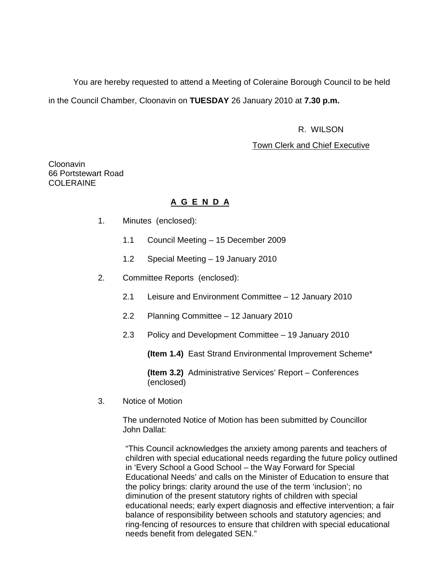You are hereby requested to attend a Meeting of Coleraine Borough Council to be held in the Council Chamber, Cloonavin on **TUESDAY** 26 January 2010 at **7.30 p.m.** 

### R. WILSON

### Town Clerk and Chief Executive

Cloonavin 66 Portstewart Road COLERAINE

## **A G E N D A**

- 1. Minutes (enclosed):
	- 1.1 Council Meeting 15 December 2009
	- 1.2 Special Meeting 19 January 2010
- 2. Committee Reports (enclosed):
	- 2.1 Leisure and Environment Committee 12 January 2010
	- 2.2 Planning Committee 12 January 2010
	- 2.3 Policy and Development Committee 19 January 2010

**(Item 1.4)** East Strand Environmental Improvement Scheme\*

**(Item 3.2)** Administrative Services' Report – Conferences (enclosed)

3. Notice of Motion

 The undernoted Notice of Motion has been submitted by Councillor John Dallat:

"This Council acknowledges the anxiety among parents and teachers of children with special educational needs regarding the future policy outlined in 'Every School a Good School – the Way Forward for Special Educational Needs' and calls on the Minister of Education to ensure that the policy brings: clarity around the use of the term 'inclusion'; no diminution of the present statutory rights of children with special educational needs; early expert diagnosis and effective intervention; a fair balance of responsibility between schools and statutory agencies; and ring-fencing of resources to ensure that children with special educational needs benefit from delegated SEN."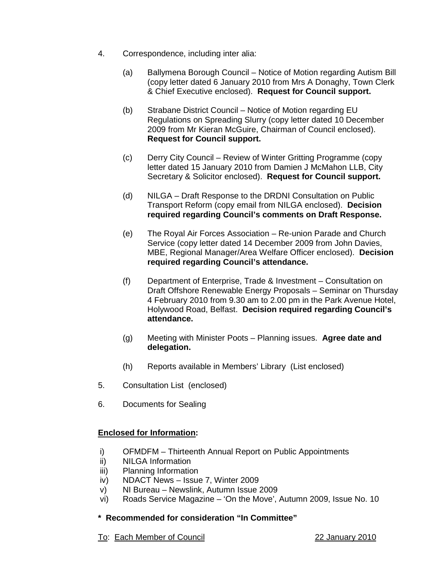- 4. Correspondence, including inter alia:
	- (a) Ballymena Borough Council Notice of Motion regarding Autism Bill (copy letter dated 6 January 2010 from Mrs A Donaghy, Town Clerk & Chief Executive enclosed). **Request for Council support.**
	- (b) Strabane District Council Notice of Motion regarding EU Regulations on Spreading Slurry (copy letter dated 10 December 2009 from Mr Kieran McGuire, Chairman of Council enclosed). **Request for Council support.**
	- (c) Derry City Council Review of Winter Gritting Programme (copy letter dated 15 January 2010 from Damien J McMahon LLB, City Secretary & Solicitor enclosed). **Request for Council support.**
	- (d) NILGA Draft Response to the DRDNI Consultation on Public Transport Reform (copy email from NILGA enclosed). **Decision required regarding Council's comments on Draft Response.**
	- (e) The Royal Air Forces Association Re-union Parade and Church Service (copy letter dated 14 December 2009 from John Davies, MBE, Regional Manager/Area Welfare Officer enclosed). **Decision required regarding Council's attendance.**
	- (f) Department of Enterprise, Trade & Investment Consultation on Draft Offshore Renewable Energy Proposals – Seminar on Thursday 4 February 2010 from 9.30 am to 2.00 pm in the Park Avenue Hotel, Holywood Road, Belfast. **Decision required regarding Council's attendance.**
	- (g) Meeting with Minister Poots Planning issues. **Agree date and delegation.**
	- (h) Reports available in Members' Library (List enclosed)
- 5. Consultation List (enclosed)
- 6. Documents for Sealing

# **Enclosed for Information:**

- i) OFMDFM Thirteenth Annual Report on Public Appointments
- ii) NILGA Information
- iii) Planning Information
- iv) NDACT News Issue 7, Winter 2009
- v) NI Bureau Newslink, Autumn Issue 2009
- vi) Roads Service Magazine 'On the Move', Autumn 2009, Issue No. 10

# **\* Recommended for consideration "In Committee"**

To: Each Member of Council 22 January 2010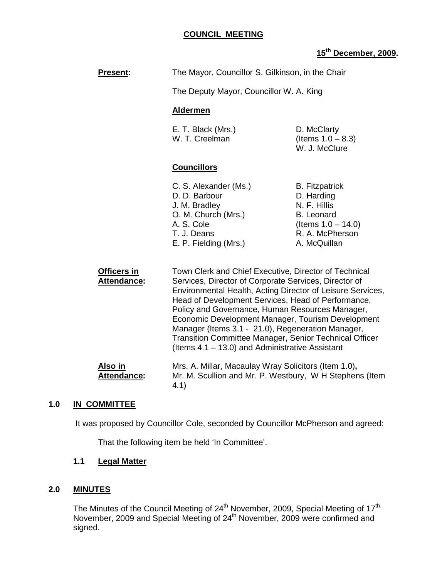| <b>Present:</b>                   | The Mayor, Councillor S. Gilkinson, in the Chair                                                                                                                                                                                                                                                                                                                                                                                                                                                                |                                                                                                                                      |
|-----------------------------------|-----------------------------------------------------------------------------------------------------------------------------------------------------------------------------------------------------------------------------------------------------------------------------------------------------------------------------------------------------------------------------------------------------------------------------------------------------------------------------------------------------------------|--------------------------------------------------------------------------------------------------------------------------------------|
|                                   | The Deputy Mayor, Councillor W. A. King                                                                                                                                                                                                                                                                                                                                                                                                                                                                         |                                                                                                                                      |
|                                   | <b>Aldermen</b>                                                                                                                                                                                                                                                                                                                                                                                                                                                                                                 |                                                                                                                                      |
|                                   | E. T. Black (Mrs.)<br>W. T. Creelman                                                                                                                                                                                                                                                                                                                                                                                                                                                                            | D. McClarty<br>(Items $1.0 - 8.3$ )<br>W. J. McClure                                                                                 |
|                                   | <b>Councillors</b>                                                                                                                                                                                                                                                                                                                                                                                                                                                                                              |                                                                                                                                      |
|                                   | C. S. Alexander (Ms.)<br>D. D. Barbour<br>J. M. Bradley<br>O. M. Church (Mrs.)<br>A. S. Cole<br>T. J. Deans<br>E. P. Fielding (Mrs.)                                                                                                                                                                                                                                                                                                                                                                            | <b>B.</b> Fitzpatrick<br>D. Harding<br>N. F. Hillis<br><b>B.</b> Leonard<br>(Items $1.0 - 14.0$ )<br>R. A. McPherson<br>A. McQuillan |
| Officers in<br><b>Attendance:</b> | Town Clerk and Chief Executive, Director of Technical<br>Services, Director of Corporate Services, Director of<br>Environmental Health, Acting Director of Leisure Services,<br>Head of Development Services, Head of Performance,<br>Policy and Governance, Human Resources Manager,<br>Economic Development Manager, Tourism Development<br>Manager (Items 3.1 - 21.0), Regeneration Manager,<br>Transition Committee Manager, Senior Technical Officer<br>(Items $4.1 - 13.0$ ) and Administrative Assistant |                                                                                                                                      |

Also in **Mrs. A. Millar, Macaulay Wray Solicitors (Item 1.0)**,  **Attendance:** Mr. M. Scullion and Mr. P. Westbury, W H Stephens (Item 4.1)

# **1.0 IN COMMITTEE**

It was proposed by Councillor Cole, seconded by Councillor McPherson and agreed:

That the following item be held 'In Committee'.

# **1.1 Legal Matter**

## **2.0 MINUTES**

The Minutes of the Council Meeting of  $24<sup>th</sup>$  November, 2009, Special Meeting of 17<sup>th</sup> November, 2009 and Special Meeting of 24<sup>th</sup> November, 2009 were confirmed and signed.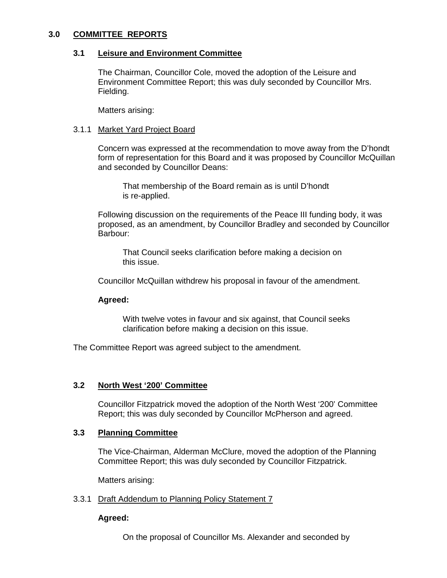### **3.0 COMMITTEE REPORTS**

### **3.1 Leisure and Environment Committee**

 The Chairman, Councillor Cole, moved the adoption of the Leisure and Environment Committee Report; this was duly seconded by Councillor Mrs. Fielding.

Matters arising:

### 3.1.1 Market Yard Project Board

Concern was expressed at the recommendation to move away from the D'hondt form of representation for this Board and it was proposed by Councillor McQuillan and seconded by Councillor Deans:

 That membership of the Board remain as is until D'hondt is re-applied.

Following discussion on the requirements of the Peace III funding body, it was proposed, as an amendment, by Councillor Bradley and seconded by Councillor Barbour:

 That Council seeks clarification before making a decision on this issue.

Councillor McQuillan withdrew his proposal in favour of the amendment.

## **Agreed:**

 With twelve votes in favour and six against, that Council seeks clarification before making a decision on this issue.

The Committee Report was agreed subject to the amendment.

## **3.2 North West '200' Committee**

 Councillor Fitzpatrick moved the adoption of the North West '200' Committee Report; this was duly seconded by Councillor McPherson and agreed.

### **3.3 Planning Committee**

 The Vice-Chairman, Alderman McClure, moved the adoption of the Planning Committee Report; this was duly seconded by Councillor Fitzpatrick.

Matters arising:

### 3.3.1 Draft Addendum to Planning Policy Statement 7

## **Agreed:**

On the proposal of Councillor Ms. Alexander and seconded by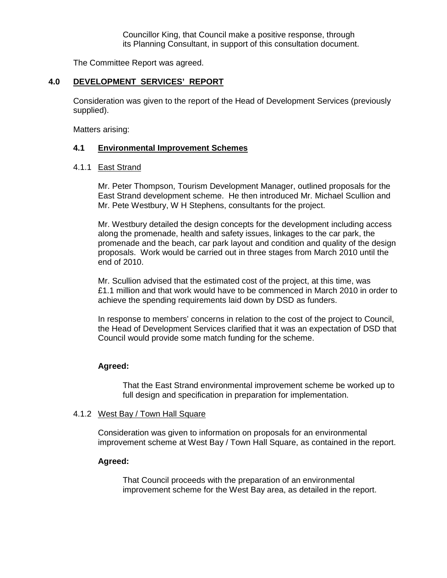Councillor King, that Council make a positive response, through its Planning Consultant, in support of this consultation document.

The Committee Report was agreed.

## **4.0 DEVELOPMENT SERVICES' REPORT**

Consideration was given to the report of the Head of Development Services (previously supplied).

Matters arising:

### **4.1 Environmental Improvement Schemes**

### 4.1.1 East Strand

Mr. Peter Thompson, Tourism Development Manager, outlined proposals for the East Strand development scheme. He then introduced Mr. Michael Scullion and Mr. Pete Westbury, W H Stephens, consultants for the project.

Mr. Westbury detailed the design concepts for the development including access along the promenade, health and safety issues, linkages to the car park, the promenade and the beach, car park layout and condition and quality of the design proposals. Work would be carried out in three stages from March 2010 until the end of 2010.

Mr. Scullion advised that the estimated cost of the project, at this time, was £1.1 million and that work would have to be commenced in March 2010 in order to achieve the spending requirements laid down by DSD as funders.

In response to members' concerns in relation to the cost of the project to Council, the Head of Development Services clarified that it was an expectation of DSD that Council would provide some match funding for the scheme.

### **Agreed:**

That the East Strand environmental improvement scheme be worked up to full design and specification in preparation for implementation.

### 4.1.2 West Bay / Town Hall Square

Consideration was given to information on proposals for an environmental improvement scheme at West Bay / Town Hall Square, as contained in the report.

### **Agreed:**

That Council proceeds with the preparation of an environmental improvement scheme for the West Bay area, as detailed in the report.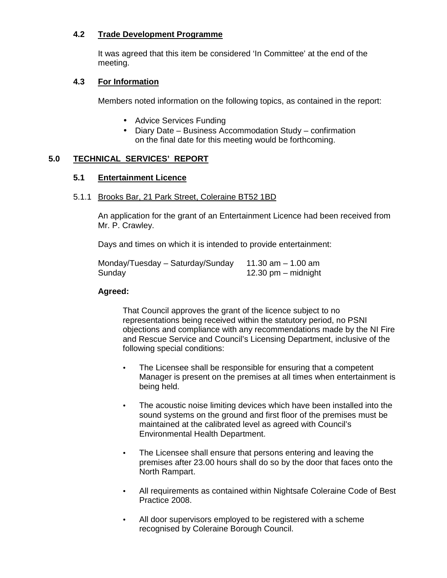# **4.2 Trade Development Programme**

It was agreed that this item be considered 'In Committee' at the end of the meeting.

## **4.3 For Information**

Members noted information on the following topics, as contained in the report:

- Advice Services Funding
- Diary Date Business Accommodation Study confirmation on the final date for this meeting would be forthcoming.

# **5.0 TECHNICAL SERVICES' REPORT**

## **5.1 Entertainment Licence**

## 5.1.1 Brooks Bar, 21 Park Street, Coleraine BT52 1BD

 An application for the grant of an Entertainment Licence had been received from Mr. P. Crawley.

Days and times on which it is intended to provide entertainment:

Monday/Tuesday – Saturday/Sunday 11.30 am – 1.00 am Sunday 12.30 pm – midnight

## **Agreed:**

 That Council approves the grant of the licence subject to no representations being received within the statutory period, no PSNI objections and compliance with any recommendations made by the NI Fire and Rescue Service and Council's Licensing Department, inclusive of the following special conditions:

- The Licensee shall be responsible for ensuring that a competent Manager is present on the premises at all times when entertainment is being held.
- The acoustic noise limiting devices which have been installed into the sound systems on the ground and first floor of the premises must be maintained at the calibrated level as agreed with Council's Environmental Health Department.
- The Licensee shall ensure that persons entering and leaving the premises after 23.00 hours shall do so by the door that faces onto the North Rampart.
- All requirements as contained within Nightsafe Coleraine Code of Best Practice 2008.
- All door supervisors employed to be registered with a scheme recognised by Coleraine Borough Council.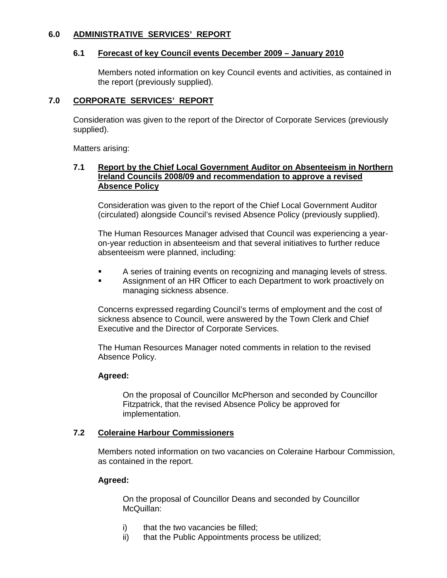## **6.0 ADMINISTRATIVE SERVICES' REPORT**

### **6.1 Forecast of key Council events December 2009 – January 2010**

 Members noted information on key Council events and activities, as contained in the report (previously supplied).

### **7.0 CORPORATE SERVICES' REPORT**

 Consideration was given to the report of the Director of Corporate Services (previously supplied).

Matters arising:

### **7.1 Report by the Chief Local Government Auditor on Absenteeism in Northern Ireland Councils 2008/09 and recommendation to approve a revised Absence Policy**

 Consideration was given to the report of the Chief Local Government Auditor (circulated) alongside Council's revised Absence Policy (previously supplied).

 The Human Resources Manager advised that Council was experiencing a year on-year reduction in absenteeism and that several initiatives to further reduce absenteeism were planned, including:

- A series of training events on recognizing and managing levels of stress.
- Assignment of an HR Officer to each Department to work proactively on managing sickness absence.

 Concerns expressed regarding Council's terms of employment and the cost of sickness absence to Council, were answered by the Town Clerk and Chief Executive and the Director of Corporate Services.

 The Human Resources Manager noted comments in relation to the revised Absence Policy.

### **Agreed:**

On the proposal of Councillor McPherson and seconded by Councillor Fitzpatrick, that the revised Absence Policy be approved for implementation.

## **7.2 Coleraine Harbour Commissioners**

Members noted information on two vacancies on Coleraine Harbour Commission, as contained in the report.

### **Agreed:**

On the proposal of Councillor Deans and seconded by Councillor McQuillan:

- i) that the two vacancies be filled:
- ii) that the Public Appointments process be utilized;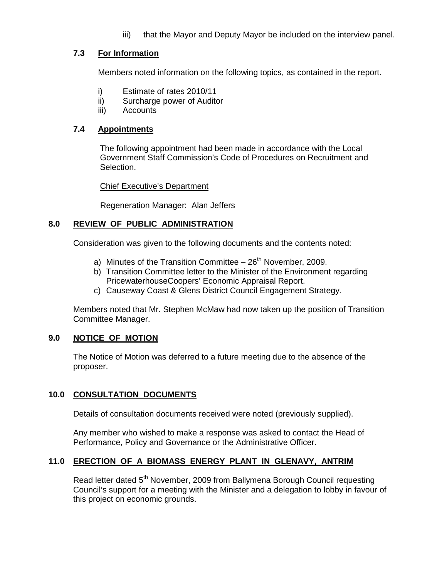iii) that the Mayor and Deputy Mayor be included on the interview panel.

# **7.3 For Information**

Members noted information on the following topics, as contained in the report.

- i) Estimate of rates 2010/11
- ii) Surcharge power of Auditor
- iii) Accounts

## **7.4 Appointments**

The following appointment had been made in accordance with the Local Government Staff Commission's Code of Procedures on Recruitment and Selection.

## Chief Executive's Department

Regeneration Manager: Alan Jeffers

## **8.0 REVIEW OF PUBLIC ADMINISTRATION**

Consideration was given to the following documents and the contents noted:

- a) Minutes of the Transition Committee  $-26<sup>th</sup>$  November, 2009.
- b) Transition Committee letter to the Minister of the Environment regarding PricewaterhouseCoopers' Economic Appraisal Report.
- c) Causeway Coast & Glens District Council Engagement Strategy.

 Members noted that Mr. Stephen McMaw had now taken up the position of Transition Committee Manager.

## **9.0 NOTICE OF MOTION**

 The Notice of Motion was deferred to a future meeting due to the absence of the proposer.

## **10.0 CONSULTATION DOCUMENTS**

Details of consultation documents received were noted (previously supplied).

 Any member who wished to make a response was asked to contact the Head of Performance, Policy and Governance or the Administrative Officer.

## **11.0 ERECTION OF A BIOMASS ENERGY PLANT IN GLENAVY, ANTRIM**

Read letter dated 5<sup>th</sup> November, 2009 from Ballymena Borough Council requesting Council's support for a meeting with the Minister and a delegation to lobby in favour of this project on economic grounds.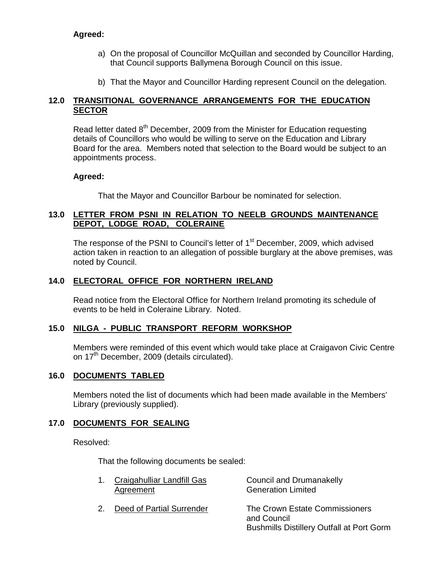# **Agreed:**

- a) On the proposal of Councillor McQuillan and seconded by Councillor Harding, that Council supports Ballymena Borough Council on this issue.
- b) That the Mayor and Councillor Harding represent Council on the delegation.

# **12.0 TRANSITIONAL GOVERNANCE ARRANGEMENTS FOR THE EDUCATION SECTOR**

Read letter dated 8<sup>th</sup> December, 2009 from the Minister for Education requesting details of Councillors who would be willing to serve on the Education and Library Board for the area. Members noted that selection to the Board would be subject to an appointments process.

## **Agreed:**

That the Mayor and Councillor Barbour be nominated for selection.

## **13.0 LETTER FROM PSNI IN RELATION TO NEELB GROUNDS MAINTENANCE DEPOT, LODGE ROAD, COLERAINE**

The response of the PSNI to Council's letter of 1<sup>st</sup> December, 2009, which advised action taken in reaction to an allegation of possible burglary at the above premises, was noted by Council.

## **14.0 ELECTORAL OFFICE FOR NORTHERN IRELAND**

Read notice from the Electoral Office for Northern Ireland promoting its schedule of events to be held in Coleraine Library. Noted.

# **15.0 NILGA - PUBLIC TRANSPORT REFORM WORKSHOP**

Members were reminded of this event which would take place at Craigavon Civic Centre on 17<sup>th</sup> December, 2009 (details circulated).

## **16.0 DOCUMENTS TABLED**

Members noted the list of documents which had been made available in the Members' Library (previously supplied).

# **17.0 DOCUMENTS FOR SEALING**

Resolved:

That the following documents be sealed:

| 1. Craigahulliar Landfill Gas<br>Agreement | Council and Drumanakelly<br><b>Generation Limited</b>                                             |
|--------------------------------------------|---------------------------------------------------------------------------------------------------|
| Deed of Partial Surrender                  | The Crown Estate Commissioners<br>and Council<br><b>Bushmills Distillery Outfall at Port Gorm</b> |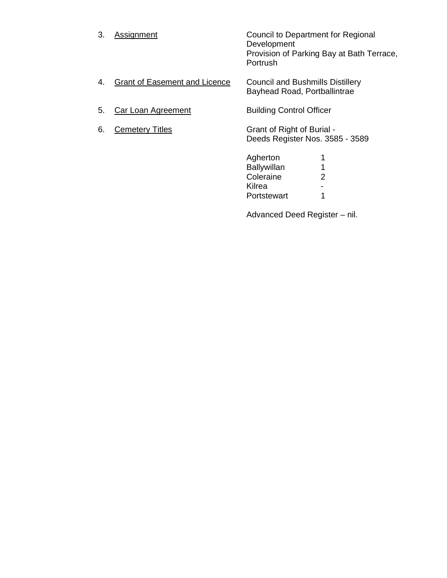| 3. | <b>Assignment</b>                    | Council to Department for Regional<br>Development<br>Provision of Parking Bay at Bath Terrace,<br>Portrush |
|----|--------------------------------------|------------------------------------------------------------------------------------------------------------|
| 4. | <b>Grant of Easement and Licence</b> | <b>Council and Bushmills Distillery</b><br>Bayhead Road, Portballintrae                                    |

- 5. Car Loan Agreement Building Control Officer
- 6. Cemetery Titles Grant of Right of Burial -Deeds Register Nos. 3585 - 3589

Agherton 1<br>Ballywillan 1 e a bhainn anns an t-Sallywillan anns an 1 **Coleraine** 2 e de la contradición de la contradición de la contradición de la contradición de la contradición de la contradición de la contradición de la contradición de la contradición de la contradición de la contradición de la contr Portstewart 1

Advanced Deed Register – nil.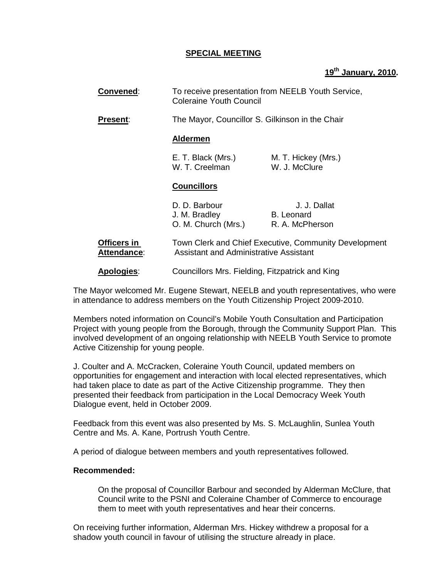## **SPECIAL MEETING**

# **19th January, 2010.**

| <b>Convened:</b>           |                                                       | To receive presentation from NEELB Youth Service,<br><b>Coleraine Youth Council</b>                    |  |
|----------------------------|-------------------------------------------------------|--------------------------------------------------------------------------------------------------------|--|
| Present:                   |                                                       | The Mayor, Councillor S. Gilkinson in the Chair                                                        |  |
|                            | <b>Aldermen</b>                                       |                                                                                                        |  |
|                            | E. T. Black (Mrs.)<br>W. T. Creelman                  | M. T. Hickey (Mrs.)<br>W. J. McClure                                                                   |  |
|                            | <b>Councillors</b>                                    |                                                                                                        |  |
|                            | D. D. Barbour<br>J. M. Bradley<br>O. M. Church (Mrs.) | J. J. Dallat<br><b>B.</b> Leonard<br>R. A. McPherson                                                   |  |
| Officers in<br>Attendance: |                                                       | Town Clerk and Chief Executive, Community Development<br><b>Assistant and Administrative Assistant</b> |  |
| Apologies:                 |                                                       | Councillors Mrs. Fielding, Fitzpatrick and King                                                        |  |

The Mayor welcomed Mr. Eugene Stewart, NEELB and youth representatives, who were in attendance to address members on the Youth Citizenship Project 2009-2010.

Members noted information on Council's Mobile Youth Consultation and Participation Project with young people from the Borough, through the Community Support Plan. This involved development of an ongoing relationship with NEELB Youth Service to promote Active Citizenship for young people.

J. Coulter and A. McCracken, Coleraine Youth Council, updated members on opportunities for engagement and interaction with local elected representatives, which had taken place to date as part of the Active Citizenship programme. They then presented their feedback from participation in the Local Democracy Week Youth Dialogue event, held in October 2009.

Feedback from this event was also presented by Ms. S. McLaughlin, Sunlea Youth Centre and Ms. A. Kane, Portrush Youth Centre.

A period of dialogue between members and youth representatives followed.

### **Recommended:**

On the proposal of Councillor Barbour and seconded by Alderman McClure, that Council write to the PSNI and Coleraine Chamber of Commerce to encourage them to meet with youth representatives and hear their concerns.

 On receiving further information, Alderman Mrs. Hickey withdrew a proposal for a shadow youth council in favour of utilising the structure already in place.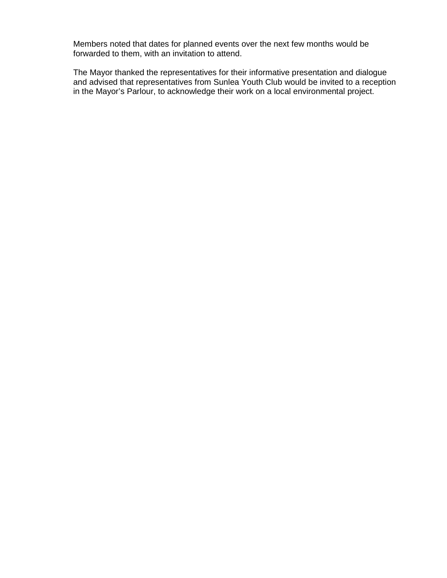Members noted that dates for planned events over the next few months would be forwarded to them, with an invitation to attend.

The Mayor thanked the representatives for their informative presentation and dialogue and advised that representatives from Sunlea Youth Club would be invited to a reception in the Mayor's Parlour, to acknowledge their work on a local environmental project.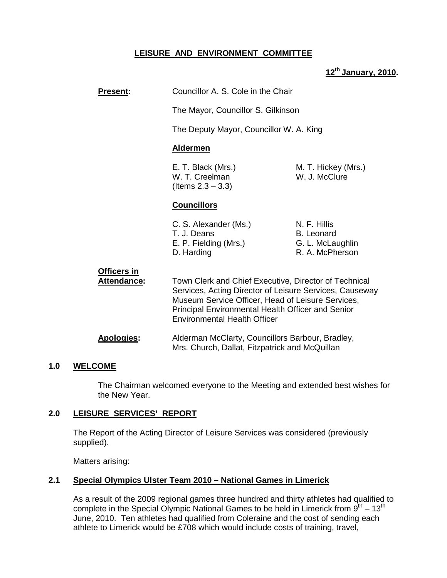# **LEISURE AND ENVIRONMENT COMMITTEE**

## **12th January, 2010.**

| <b>Present:</b>                          | Councillor A. S. Cole in the Chair                                                                                                                                                                                                                                |                                                                          |
|------------------------------------------|-------------------------------------------------------------------------------------------------------------------------------------------------------------------------------------------------------------------------------------------------------------------|--------------------------------------------------------------------------|
|                                          | The Mayor, Councillor S. Gilkinson                                                                                                                                                                                                                                |                                                                          |
|                                          | The Deputy Mayor, Councillor W. A. King                                                                                                                                                                                                                           |                                                                          |
|                                          | <u>Aldermen</u>                                                                                                                                                                                                                                                   |                                                                          |
|                                          | E. T. Black (Mrs.)<br>W. T. Creelman<br>(Items $2.3 - 3.3$ )                                                                                                                                                                                                      | M. T. Hickey (Mrs.)<br>W. J. McClure                                     |
|                                          | <b>Councillors</b>                                                                                                                                                                                                                                                |                                                                          |
|                                          | C. S. Alexander (Ms.)<br>T. J. Deans<br>E. P. Fielding (Mrs.)<br>D. Harding                                                                                                                                                                                       | N. F. Hillis<br><b>B.</b> Leonard<br>G. L. McLaughlin<br>R. A. McPherson |
| <b>Officers in</b><br><b>Attendance:</b> | Town Clerk and Chief Executive, Director of Technical<br>Services, Acting Director of Leisure Services, Causeway<br>Museum Service Officer, Head of Leisure Services,<br>Principal Environmental Health Officer and Senior<br><b>Environmental Health Officer</b> |                                                                          |

## **Apologies:** Alderman McClarty, Councillors Barbour, Bradley, Mrs. Church, Dallat, Fitzpatrick and McQuillan

## **1.0 WELCOME**

 The Chairman welcomed everyone to the Meeting and extended best wishes for the New Year.

## **2.0 LEISURE SERVICES' REPORT**

 The Report of the Acting Director of Leisure Services was considered (previously supplied).

Matters arising:

## **2.1 Special Olympics Ulster Team 2010 – National Games in Limerick**

 As a result of the 2009 regional games three hundred and thirty athletes had qualified to complete in the Special Olympic National Games to be held in Limerick from  $9^{th} - 13^{th}$  June, 2010. Ten athletes had qualified from Coleraine and the cost of sending each athlete to Limerick would be £708 which would include costs of training, travel,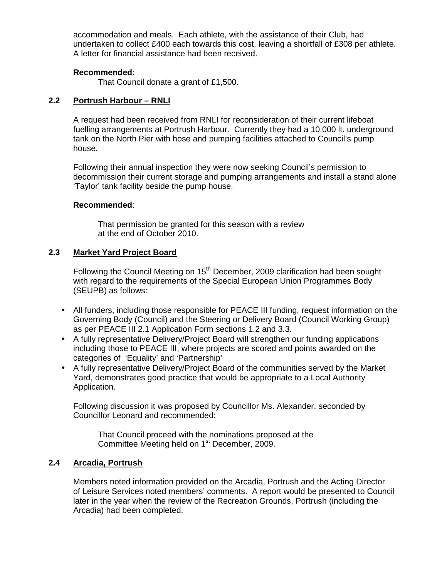accommodation and meals. Each athlete, with the assistance of their Club, had undertaken to collect £400 each towards this cost, leaving a shortfall of £308 per athlete. A letter for financial assistance had been received.

## **Recommended**:

That Council donate a grant of £1,500.

# **2.2 Portrush Harbour – RNLI**

 A request had been received from RNLI for reconsideration of their current lifeboat fuelling arrangements at Portrush Harbour. Currently they had a 10,000 lt. underground tank on the North Pier with hose and pumping facilities attached to Council's pump house.

 Following their annual inspection they were now seeking Council's permission to decommission their current storage and pumping arrangements and install a stand alone 'Taylor' tank facility beside the pump house.

## **Recommended**:

 That permission be granted for this season with a review at the end of October 2010.

## **2.3 Market Yard Project Board**

Following the Council Meeting on  $15<sup>th</sup>$  December, 2009 clarification had been sought with regard to the requirements of the Special European Union Programmes Body (SEUPB) as follows:

- All funders, including those responsible for PEACE III funding, request information on the Governing Body (Council) and the Steering or Delivery Board (Council Working Group) as per PEACE III 2.1 Application Form sections 1.2 and 3.3.
- A fully representative Delivery/Project Board will strengthen our funding applications including those to PEACE III, where projects are scored and points awarded on the categories of 'Equality' and 'Partnership'
- A fully representative Delivery/Project Board of the communities served by the Market Yard, demonstrates good practice that would be appropriate to a Local Authority Application.

 Following discussion it was proposed by Councillor Ms. Alexander, seconded by Councillor Leonard and recommended:

 That Council proceed with the nominations proposed at the Committee Meeting held on 1st December, 2009.

# **2.4 Arcadia, Portrush**

 Members noted information provided on the Arcadia, Portrush and the Acting Director of Leisure Services noted members' comments. A report would be presented to Council later in the year when the review of the Recreation Grounds, Portrush (including the Arcadia) had been completed.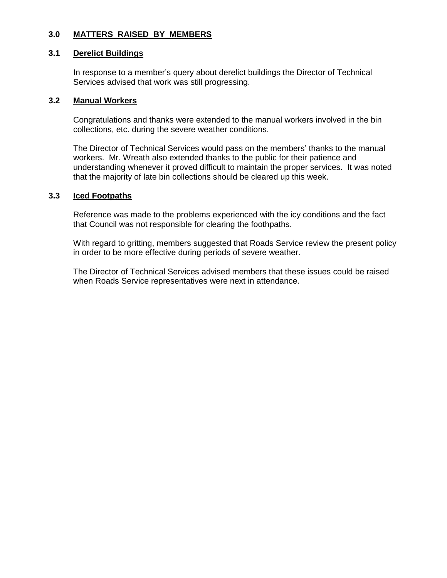## **3.0 MATTERS RAISED BY MEMBERS**

### **3.1 Derelict Buildings**

In response to a member's query about derelict buildings the Director of Technical Services advised that work was still progressing.

### **3.2 Manual Workers**

 Congratulations and thanks were extended to the manual workers involved in the bin collections, etc. during the severe weather conditions.

 The Director of Technical Services would pass on the members' thanks to the manual workers. Mr. Wreath also extended thanks to the public for their patience and understanding whenever it proved difficult to maintain the proper services. It was noted that the majority of late bin collections should be cleared up this week.

## **3.3 Iced Footpaths**

Reference was made to the problems experienced with the icy conditions and the fact that Council was not responsible for clearing the foothpaths.

 With regard to gritting, members suggested that Roads Service review the present policy in order to be more effective during periods of severe weather.

 The Director of Technical Services advised members that these issues could be raised when Roads Service representatives were next in attendance.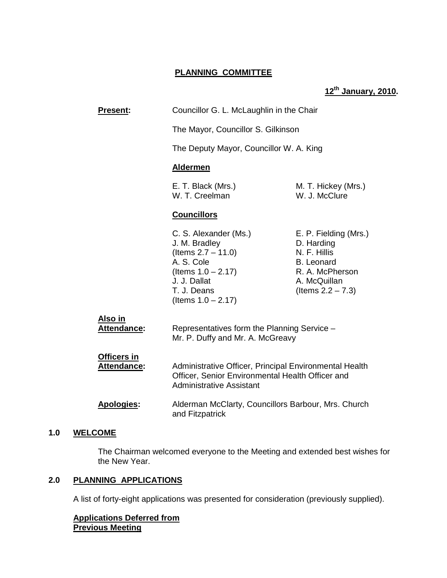## **PLANNING COMMITTEE**

# **12th January, 2010.**

| <b>Present:</b>                          | Councillor G. L. McLaughlin in the Chair                                                                                                                       |                                                                                                                                     |
|------------------------------------------|----------------------------------------------------------------------------------------------------------------------------------------------------------------|-------------------------------------------------------------------------------------------------------------------------------------|
|                                          | The Mayor, Councillor S. Gilkinson                                                                                                                             |                                                                                                                                     |
|                                          | The Deputy Mayor, Councillor W. A. King                                                                                                                        |                                                                                                                                     |
|                                          | <b>Aldermen</b>                                                                                                                                                |                                                                                                                                     |
|                                          | E. T. Black (Mrs.)<br>W. T. Creelman                                                                                                                           | M. T. Hickey (Mrs.)<br>W. J. McClure                                                                                                |
|                                          | <b>Councillors</b>                                                                                                                                             |                                                                                                                                     |
|                                          | C. S. Alexander (Ms.)<br>J. M. Bradley<br>(Items $2.7 - 11.0$ )<br>A. S. Cole<br>(Items $1.0 - 2.17$ )<br>J. J. Dallat<br>T. J. Deans<br>(Items $1.0 - 2.17$ ) | E. P. Fielding (Mrs.)<br>D. Harding<br>N. F. Hillis<br><b>B.</b> Leonard<br>R. A. McPherson<br>A. McQuillan<br>(Items $2.2 - 7.3$ ) |
| Also in<br><b>Attendance:</b>            | Representatives form the Planning Service -<br>Mr. P. Duffy and Mr. A. McGreavy                                                                                |                                                                                                                                     |
| <b>Officers in</b><br><b>Attendance:</b> | Administrative Officer, Principal Environmental Health<br>Officer, Senior Environmental Health Officer and<br><b>Administrative Assistant</b>                  |                                                                                                                                     |
| <b>Apologies:</b>                        | Alderman McClarty, Councillors Barbour, Mrs. Church<br>and Fitzpatrick                                                                                         |                                                                                                                                     |

### **1.0 WELCOME**

 The Chairman welcomed everyone to the Meeting and extended best wishes for the New Year.

# **2.0 PLANNING APPLICATIONS**

A list of forty-eight applications was presented for consideration (previously supplied).

## **Applications Deferred from Previous Meeting**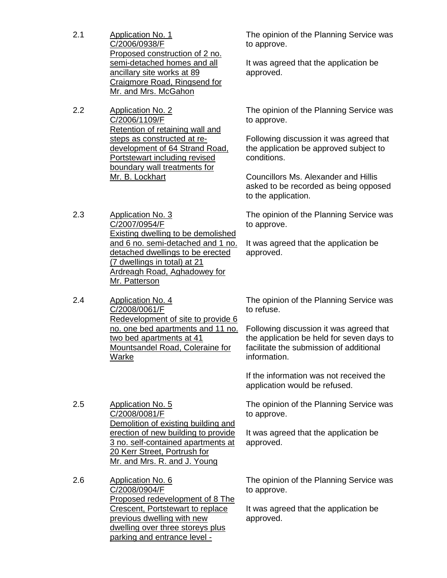- 2.1 Application No. 1 C/2006/0938/F Proposed construction of 2 no. semi-detached homes and all ancillary site works at 89 Craigmore Road, Ringsend for Mr. and Mrs. McGahon
- 2.2 Application No. 2 C/2006/1109/F Retention of retaining wall and steps as constructed at redevelopment of 64 Strand Road, Portstewart including revised boundary wall treatments for Mr. B. Lockhart

2.3 Application No. 3 C/2007/0954/F Existing dwelling to be demolished and 6 no. semi-detached and 1 no. detached dwellings to be erected (7 dwellings in total) at 21 Ardreagh Road, Aghadowey for Mr. Patterson

2.4 Application No. 4 C/2008/0061/F Redevelopment of site to provide 6 no. one bed apartments and 11 no. two bed apartments at 41 Mountsandel Road, Coleraine for Warke

2.5 Application No. 5 C/2008/0081/F Demolition of existing building and erection of new building to provide 3 no. self-contained apartments at 20 Kerr Street, Portrush for Mr. and Mrs. R. and J. Young

2.6 Application No. 6 C/2008/0904/F Proposed redevelopment of 8 The Crescent, Portstewart to replace previous dwelling with new dwelling over three storeys plus parking and entrance level -

The opinion of the Planning Service was to approve.

It was agreed that the application be approved.

The opinion of the Planning Service was to approve.

Following discussion it was agreed that the application be approved subject to conditions.

Councillors Ms. Alexander and Hillis asked to be recorded as being opposed to the application.

The opinion of the Planning Service was to approve.

It was agreed that the application be approved.

The opinion of the Planning Service was to refuse.

Following discussion it was agreed that the application be held for seven days to facilitate the submission of additional information.

If the information was not received the application would be refused.

The opinion of the Planning Service was to approve.

It was agreed that the application be approved.

The opinion of the Planning Service was to approve.

It was agreed that the application be approved.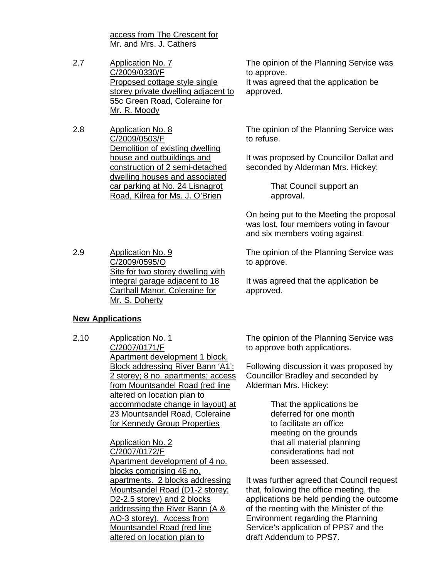access from The Crescent for Mr. and Mrs. J. Cathers

- 2.7 Application No. 7 C/2009/0330/F Proposed cottage style single storey private dwelling adjacent to 55c Green Road, Coleraine for Mr. R. Moody
- 2.8 Application No. 8 C/2009/0503/F Demolition of existing dwelling house and outbuildings and construction of 2 semi-detached dwelling houses and associated car parking at No. 24 Lisnagrot Road, Kilrea for Ms. J. O'Brien

The opinion of the Planning Service was to approve. It was agreed that the application be approved.

The opinion of the Planning Service was to refuse.

It was proposed by Councillor Dallat and seconded by Alderman Mrs. Hickey:

> That Council support an approval.

On being put to the Meeting the proposal was lost, four members voting in favour and six members voting against.

The opinion of the Planning Service was to approve.

It was agreed that the application be approved.

## **New Applications**

2.9 Application No. 9

C/2009/0595/O

Mr. S. Doherty

2.10 Application No. 1 C/2007/0171/F Apartment development 1 block. Block addressing River Bann 'A1': 2 storey; 8 no. apartments; access from Mountsandel Road (red line altered on location plan to accommodate change in layout) at 23 Mountsandel Road, Coleraine for Kennedy Group Properties

Site for two storey dwelling with integral garage adjacent to 18 Carthall Manor, Coleraine for

Application No. 2 C/2007/0172/F Apartment development of 4 no. blocks comprising 46 no. apartments. 2 blocks addressing Mountsandel Road (D1-2 storey; D2-2.5 storey) and 2 blocks addressing the River Bann (A & AO-3 storey). Access from Mountsandel Road (red line altered on location plan to

The opinion of the Planning Service was to approve both applications.

Following discussion it was proposed by Councillor Bradley and seconded by Alderman Mrs. Hickey:

> That the applications be deferred for one month to facilitate an office meeting on the grounds that all material planning considerations had not been assessed.

It was further agreed that Council request that, following the office meeting, the applications be held pending the outcome of the meeting with the Minister of the Environment regarding the Planning Service's application of PPS7 and the draft Addendum to PPS7.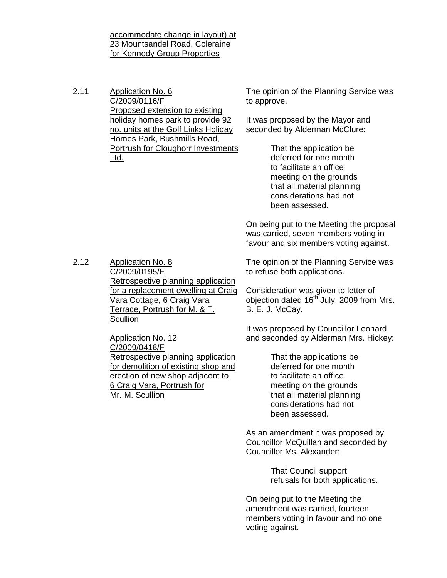accommodate change in layout) at 23 Mountsandel Road, Coleraine for Kennedy Group Properties

2.11 Application No. 6 C/2009/0116/F Proposed extension to existing holiday homes park to provide 92 no. units at the Golf Links Holiday Homes Park, Bushmills Road, Portrush for Cloughorr Investments Ltd.

The opinion of the Planning Service was to approve.

It was proposed by the Mayor and seconded by Alderman McClure:

> That the application be deferred for one month to facilitate an office meeting on the grounds that all material planning considerations had not been assessed.

On being put to the Meeting the proposal was carried, seven members voting in favour and six members voting against.

2.12 Application No. 8 C/2009/0195/F Retrospective planning application for a replacement dwelling at Craig Vara Cottage, 6 Craig Vara Terrace, Portrush for M. & T. **Scullion** 

> Application No. 12 C/2009/0416/F Retrospective planning application for demolition of existing shop and erection of new shop adjacent to 6 Craig Vara, Portrush for Mr. M. Scullion

The opinion of the Planning Service was to refuse both applications.

Consideration was given to letter of objection dated 16<sup>th</sup> July, 2009 from Mrs. B. E. J. McCay.

It was proposed by Councillor Leonard and seconded by Alderman Mrs. Hickey:

> That the applications be deferred for one month to facilitate an office meeting on the grounds that all material planning considerations had not been assessed.

As an amendment it was proposed by Councillor McQuillan and seconded by Councillor Ms. Alexander:

> That Council support refusals for both applications.

On being put to the Meeting the amendment was carried, fourteen members voting in favour and no one voting against.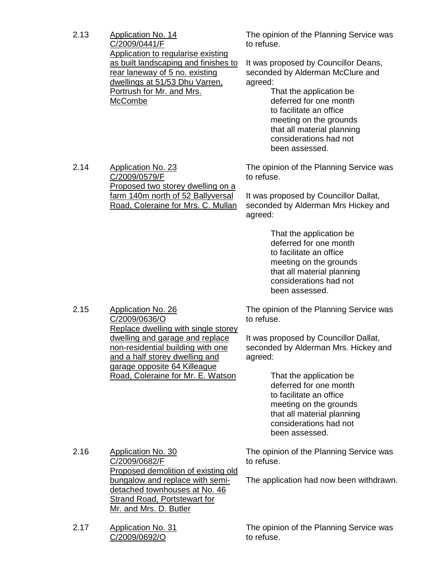2.13 Application No. 14 C/2009/0441/F Application to regularise existing as built landscaping and finishes to rear laneway of 5 no. existing dwellings at 51/53 Dhu Varren, Portrush for Mr. and Mrs. **McCombe** 

The opinion of the Planning Service was to refuse.

It was proposed by Councillor Deans, seconded by Alderman McClure and agreed:

> That the application be deferred for one month to facilitate an office meeting on the grounds that all material planning considerations had not been assessed.

2.14 Application No. 23 C/2009/0579/F Proposed two storey dwelling on a farm 140m north of 52 Ballyversal Road, Coleraine for Mrs. C. Mullan The opinion of the Planning Service was to refuse.

It was proposed by Councillor Dallat, seconded by Alderman Mrs Hickey and agreed:

> That the application be deferred for one month to facilitate an office meeting on the grounds that all material planning considerations had not been assessed.

2.15 Application No. 26 C/2009/0636/O Replace dwelling with single storey dwelling and garage and replace non-residential building with one and a half storey dwelling and garage opposite 64 Killeague Road, Coleraine for Mr. E. Watson

The opinion of the Planning Service was to refuse.

It was proposed by Councillor Dallat, seconded by Alderman Mrs. Hickey and agreed:

> That the application be deferred for one month to facilitate an office meeting on the grounds that all material planning considerations had not been assessed.

2.16 Application No. 30 C/2009/0682/F Proposed demolition of existing old bungalow and replace with semidetached townhouses at No. 46 Strand Road, Portstewart for Mr. and Mrs. D. Butler

2.17 Application No. 31 C/2009/0692/O

The opinion of the Planning Service was to refuse.

The application had now been withdrawn.

The opinion of the Planning Service was to refuse.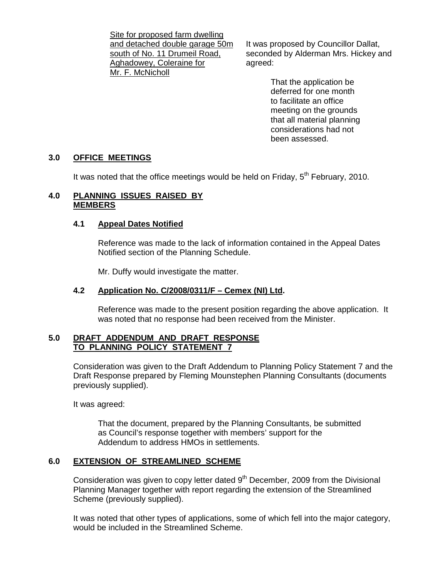Site for proposed farm dwelling and detached double garage 50m south of No. 11 Drumeil Road, Aghadowey, Coleraine for Mr. F. McNicholl

It was proposed by Councillor Dallat, seconded by Alderman Mrs. Hickey and agreed:

> That the application be deferred for one month to facilitate an office meeting on the grounds that all material planning considerations had not been assessed.

## **3.0 OFFICE MEETINGS**

It was noted that the office meetings would be held on Friday,  $5<sup>th</sup>$  February, 2010.

### **4.0 PLANNING ISSUES RAISED BY MEMBERS**

## **4.1 Appeal Dates Notified**

 Reference was made to the lack of information contained in the Appeal Dates Notified section of the Planning Schedule.

Mr. Duffy would investigate the matter.

## **4.2 Application No. C/2008/0311/F – Cemex (NI) Ltd.**

 Reference was made to the present position regarding the above application. It was noted that no response had been received from the Minister.

## **5.0 DRAFT ADDENDUM AND DRAFT RESPONSE TO PLANNING POLICY STATEMENT 7**

Consideration was given to the Draft Addendum to Planning Policy Statement 7 and the Draft Response prepared by Fleming Mounstephen Planning Consultants (documents previously supplied).

It was agreed:

 That the document, prepared by the Planning Consultants, be submitted as Council's response together with members' support for the Addendum to address HMOs in settlements.

# **6.0 EXTENSION OF STREAMLINED SCHEME**

Consideration was given to copy letter dated 9<sup>th</sup> December, 2009 from the Divisional Planning Manager together with report regarding the extension of the Streamlined Scheme (previously supplied).

 It was noted that other types of applications, some of which fell into the major category, would be included in the Streamlined Scheme.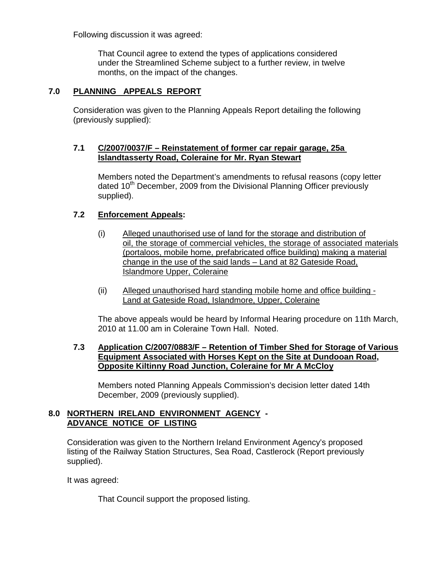Following discussion it was agreed:

 That Council agree to extend the types of applications considered under the Streamlined Scheme subject to a further review, in twelve months, on the impact of the changes.

# **7.0 PLANNING APPEALS REPORT**

 Consideration was given to the Planning Appeals Report detailing the following (previously supplied):

### **7.1 C/2007/0037/F – Reinstatement of former car repair garage, 25a Islandtasserty Road, Coleraine for Mr. Ryan Stewart**

 Members noted the Department's amendments to refusal reasons (copy letter dated 10<sup>th</sup> December, 2009 from the Divisional Planning Officer previously supplied).

## **7.2 Enforcement Appeals:**

- (i) Alleged unauthorised use of land for the storage and distribution of oil, the storage of commercial vehicles, the storage of associated materials (portaloos, mobile home, prefabricated office building) making a material change in the use of the said lands – Land at 82 Gateside Road, Islandmore Upper, Coleraine
- (ii) Alleged unauthorised hard standing mobile home and office building Land at Gateside Road, Islandmore, Upper, Coleraine

 The above appeals would be heard by Informal Hearing procedure on 11th March, 2010 at 11.00 am in Coleraine Town Hall. Noted.

## **7.3 Application C/2007/0883/F – Retention of Timber Shed for Storage of Various Equipment Associated with Horses Kept on the Site at Dundooan Road, Opposite Kiltinny Road Junction, Coleraine for Mr A McCloy**

Members noted Planning Appeals Commission's decision letter dated 14th December, 2009 (previously supplied).

## **8.0 NORTHERN IRELAND ENVIRONMENT AGENCY - ADVANCE NOTICE OF LISTING**

 Consideration was given to the Northern Ireland Environment Agency's proposed listing of the Railway Station Structures, Sea Road, Castlerock (Report previously supplied).

It was agreed:

That Council support the proposed listing.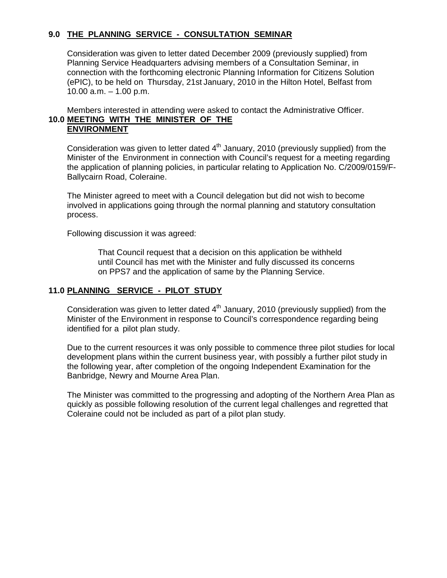## **9.0 THE PLANNING SERVICE - CONSULTATION SEMINAR**

 Consideration was given to letter dated December 2009 (previously supplied) from Planning Service Headquarters advising members of a Consultation Seminar, in connection with the forthcoming electronic Planning Information for Citizens Solution (ePIC), to be held on Thursday, 21st January, 2010 in the Hilton Hotel, Belfast from 10.00 a.m. – 1.00 p.m.

 Members interested in attending were asked to contact the Administrative Officer. **10.0 MEETING WITH THE MINISTER OF THE ENVIRONMENT**

Consideration was given to letter dated  $4<sup>th</sup>$  January, 2010 (previously supplied) from the Minister of the Environment in connection with Council's request for a meeting regarding the application of planning policies, in particular relating to Application No. C/2009/0159/F- Ballycairn Road, Coleraine.

 The Minister agreed to meet with a Council delegation but did not wish to become involved in applications going through the normal planning and statutory consultation process.

Following discussion it was agreed:

 That Council request that a decision on this application be withheld until Council has met with the Minister and fully discussed its concerns on PPS7 and the application of same by the Planning Service.

## **11.0 PLANNING SERVICE - PILOT STUDY**

Consideration was given to letter dated  $4<sup>th</sup>$  January, 2010 (previously supplied) from the Minister of the Environment in response to Council's correspondence regarding being identified for a pilot plan study.

 Due to the current resources it was only possible to commence three pilot studies for local development plans within the current business year, with possibly a further pilot study in the following year, after completion of the ongoing Independent Examination for the Banbridge, Newry and Mourne Area Plan.

 The Minister was committed to the progressing and adopting of the Northern Area Plan as quickly as possible following resolution of the current legal challenges and regretted that Coleraine could not be included as part of a pilot plan study.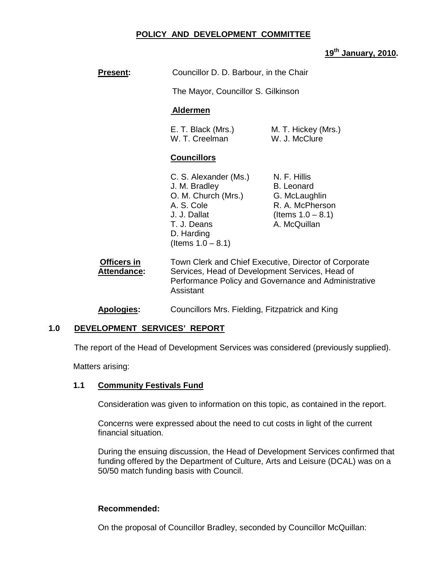## **POLICY AND DEVELOPMENT COMMITTEE**

# **19th January, 2010.**

| <b>Present:</b>                   | Councillor D. D. Barbour, in the Chair                                                                                                                                        |                                                                                                        |
|-----------------------------------|-------------------------------------------------------------------------------------------------------------------------------------------------------------------------------|--------------------------------------------------------------------------------------------------------|
|                                   | The Mayor, Councillor S. Gilkinson                                                                                                                                            |                                                                                                        |
|                                   | <b>Aldermen</b>                                                                                                                                                               |                                                                                                        |
|                                   | E. T. Black (Mrs.)<br>W. T. Creelman                                                                                                                                          | M. T. Hickey (Mrs.)<br>W. J. McClure                                                                   |
|                                   | <b>Councillors</b>                                                                                                                                                            |                                                                                                        |
|                                   | C. S. Alexander (Ms.)<br>J. M. Bradley<br>O. M. Church (Mrs.)<br>A. S. Cole<br>J. J. Dallat<br>T. J. Deans<br>D. Harding<br>(Items $1.0 - 8.1$ )                              | N. F. Hillis<br>B. Leonard<br>G. McLaughlin<br>R. A. McPherson<br>(Items $1.0 - 8.1$ )<br>A. McQuillan |
| Officers in<br><b>Attendance:</b> | Town Clerk and Chief Executive, Director of Corporate<br>Services, Head of Development Services, Head of<br>Performance Policy and Governance and Administrative<br>Assistant |                                                                                                        |
| <b>Apologies:</b>                 | Councillors Mrs. Fielding, Fitzpatrick and King                                                                                                                               |                                                                                                        |

## **1.0 DEVELOPMENT SERVICES' REPORT**

The report of the Head of Development Services was considered (previously supplied).

Matters arising:

### **1.1 Community Festivals Fund**

Consideration was given to information on this topic, as contained in the report.

 Concerns were expressed about the need to cut costs in light of the current financial situation.

During the ensuing discussion, the Head of Development Services confirmed that funding offered by the Department of Culture, Arts and Leisure (DCAL) was on a 50/50 match funding basis with Council.

### **Recommended:**

On the proposal of Councillor Bradley, seconded by Councillor McQuillan: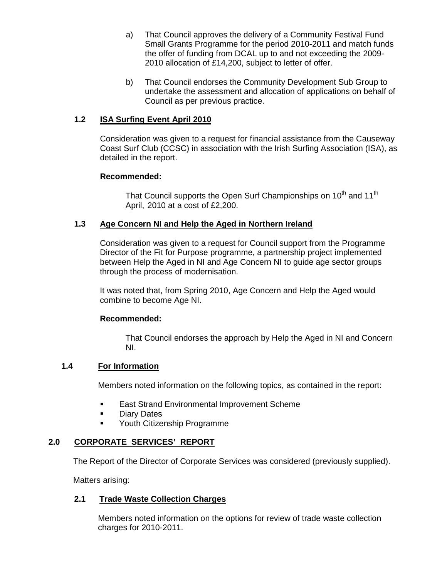- a) That Council approves the delivery of a Community Festival Fund Small Grants Programme for the period 2010-2011 and match funds the offer of funding from DCAL up to and not exceeding the 2009- 2010 allocation of £14,200, subject to letter of offer.
- b) That Council endorses the Community Development Sub Group to undertake the assessment and allocation of applications on behalf of Council as per previous practice.

# **1.2 ISA Surfing Event April 2010**

Consideration was given to a request for financial assistance from the Causeway Coast Surf Club (CCSC) in association with the Irish Surfing Association (ISA), as detailed in the report.

### **Recommended:**

That Council supports the Open Surf Championships on 10<sup>th</sup> and 11<sup>th</sup> April, 2010 at a cost of £2,200.

## **1.3 Age Concern NI and Help the Aged in Northern Ireland**

Consideration was given to a request for Council support from the Programme Director of the Fit for Purpose programme, a partnership project implemented between Help the Aged in NI and Age Concern NI to guide age sector groups through the process of modernisation.

 It was noted that, from Spring 2010, Age Concern and Help the Aged would combine to become Age NI.

### **Recommended:**

That Council endorses the approach by Help the Aged in NI and Concern NI.

## **1.4 For Information**

Members noted information on the following topics, as contained in the report:

- **East Strand Environmental Improvement Scheme**
- **Diary Dates**
- **•** Youth Citizenship Programme

## **2.0 CORPORATE SERVICES' REPORT**

The Report of the Director of Corporate Services was considered (previously supplied).

Matters arising:

## **2.1 Trade Waste Collection Charges**

Members noted information on the options for review of trade waste collection charges for 2010-2011.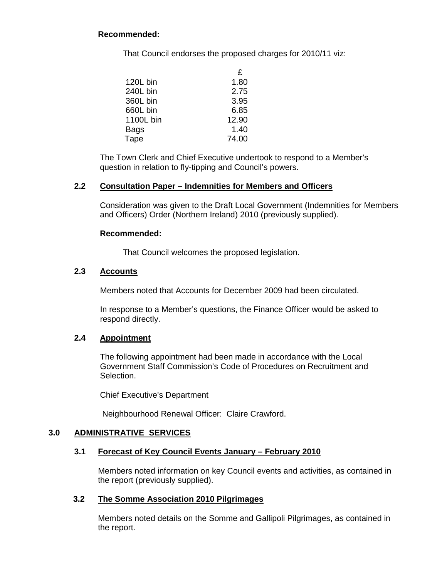# **Recommended:**

That Council endorses the proposed charges for 2010/11 viz:

|             | £     |
|-------------|-------|
| 120L bin    | 1.80  |
| 240L bin    | 2.75  |
| 360L bin    | 3.95  |
| 660L bin    | 6.85  |
| 1100L bin   | 12.90 |
| <b>Bags</b> | 1.40  |
| Tape        | 74.00 |

The Town Clerk and Chief Executive undertook to respond to a Member's question in relation to fly-tipping and Council's powers.

### **2.2 Consultation Paper – Indemnities for Members and Officers**

 Consideration was given to the Draft Local Government (Indemnities for Members and Officers) Order (Northern Ireland) 2010 (previously supplied).

### **Recommended:**

That Council welcomes the proposed legislation.

## **2.3 Accounts**

Members noted that Accounts for December 2009 had been circulated.

In response to a Member's questions, the Finance Officer would be asked to respond directly.

## **2.4 Appointment**

The following appointment had been made in accordance with the Local Government Staff Commission's Code of Procedures on Recruitment and Selection.

### Chief Executive's Department

Neighbourhood Renewal Officer: Claire Crawford.

## **3.0 ADMINISTRATIVE SERVICES**

## **3.1 Forecast of Key Council Events January – February 2010**

Members noted information on key Council events and activities, as contained in the report (previously supplied).

### **3.2 The Somme Association 2010 Pilgrimages**

Members noted details on the Somme and Gallipoli Pilgrimages, as contained in the report.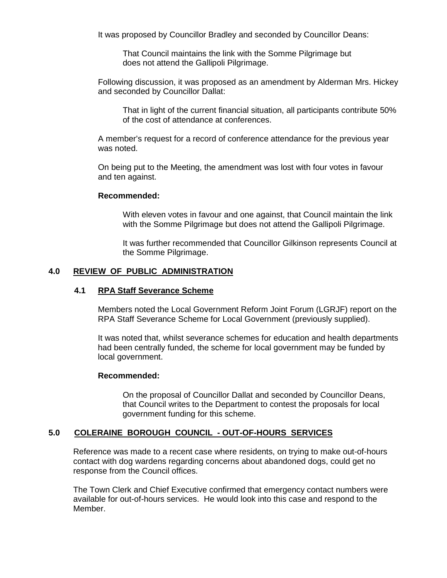It was proposed by Councillor Bradley and seconded by Councillor Deans:

 That Council maintains the link with the Somme Pilgrimage but does not attend the Gallipoli Pilgrimage.

Following discussion, it was proposed as an amendment by Alderman Mrs. Hickey and seconded by Councillor Dallat:

 That in light of the current financial situation, all participants contribute 50% of the cost of attendance at conferences.

A member's request for a record of conference attendance for the previous year was noted.

On being put to the Meeting, the amendment was lost with four votes in favour and ten against.

### **Recommended:**

With eleven votes in favour and one against, that Council maintain the link with the Somme Pilgrimage but does not attend the Gallipoli Pilgrimage.

It was further recommended that Councillor Gilkinson represents Council at the Somme Pilgrimage.

## **4.0 REVIEW OF PUBLIC ADMINISTRATION**

### **4.1 RPA Staff Severance Scheme**

Members noted the Local Government Reform Joint Forum (LGRJF) report on the RPA Staff Severance Scheme for Local Government (previously supplied).

It was noted that, whilst severance schemes for education and health departments had been centrally funded, the scheme for local government may be funded by local government.

### **Recommended:**

On the proposal of Councillor Dallat and seconded by Councillor Deans, that Council writes to the Department to contest the proposals for local government funding for this scheme.

### **5.0 COLERAINE BOROUGH COUNCIL - OUT-OF-HOURS SERVICES**

Reference was made to a recent case where residents, on trying to make out-of-hours contact with dog wardens regarding concerns about abandoned dogs, could get no response from the Council offices.

The Town Clerk and Chief Executive confirmed that emergency contact numbers were available for out-of-hours services. He would look into this case and respond to the Member.